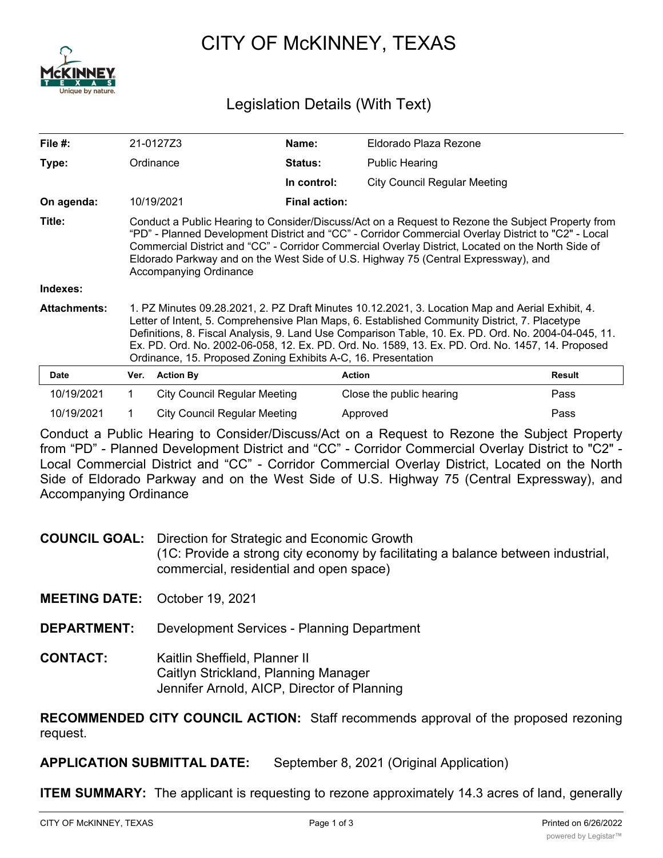

# CITY OF McKINNEY, TEXAS

# Legislation Details (With Text)

|                                                                                                                                                                                                                                                                                                                                                                                                                                                                                |                  | Name:                                | Eldorado Plaza Rezone               |                                           |
|--------------------------------------------------------------------------------------------------------------------------------------------------------------------------------------------------------------------------------------------------------------------------------------------------------------------------------------------------------------------------------------------------------------------------------------------------------------------------------|------------------|--------------------------------------|-------------------------------------|-------------------------------------------|
|                                                                                                                                                                                                                                                                                                                                                                                                                                                                                |                  | <b>Status:</b>                       | Public Hearing                      |                                           |
|                                                                                                                                                                                                                                                                                                                                                                                                                                                                                |                  | In control:                          | <b>City Council Regular Meeting</b> |                                           |
|                                                                                                                                                                                                                                                                                                                                                                                                                                                                                |                  | <b>Final action:</b>                 |                                     |                                           |
| Conduct a Public Hearing to Consider/Discuss/Act on a Request to Rezone the Subject Property from<br>"PD" - Planned Development District and "CC" - Corridor Commercial Overlay District to "C2" - Local<br>Commercial District and "CC" - Corridor Commercial Overlay District, Located on the North Side of<br>Eldorado Parkway and on the West Side of U.S. Highway 75 (Central Expressway), and<br>Accompanying Ordinance                                                  |                  |                                      |                                     |                                           |
|                                                                                                                                                                                                                                                                                                                                                                                                                                                                                |                  |                                      |                                     |                                           |
| 1. PZ Minutes 09.28.2021, 2. PZ Draft Minutes 10.12.2021, 3. Location Map and Aerial Exhibit, 4.<br>Letter of Intent, 5. Comprehensive Plan Maps, 6. Established Community District, 7. Placetype<br>Definitions, 8. Fiscal Analysis, 9. Land Use Comparison Table, 10. Ex. PD. Ord. No. 2004-04-045, 11.<br>Ex. PD. Ord. No. 2002-06-058, 12. Ex. PD. Ord. No. 1589, 13. Ex. PD. Ord. No. 1457, 14. Proposed<br>Ordinance, 15. Proposed Zoning Exhibits A-C, 16. Presentation |                  |                                      |                                     |                                           |
| Ver.                                                                                                                                                                                                                                                                                                                                                                                                                                                                           | <b>Action By</b> |                                      |                                     | Result                                    |
| $\mathbf 1$                                                                                                                                                                                                                                                                                                                                                                                                                                                                    |                  |                                      |                                     | Pass                                      |
|                                                                                                                                                                                                                                                                                                                                                                                                                                                                                |                  | 21-0127Z3<br>Ordinance<br>10/19/2021 | City Council Regular Meeting        | <b>Action</b><br>Close the public hearing |

Conduct a Public Hearing to Consider/Discuss/Act on a Request to Rezone the Subject Property from "PD" - Planned Development District and "CC" - Corridor Commercial Overlay District to "C2" - Local Commercial District and "CC" - Corridor Commercial Overlay District, Located on the North Side of Eldorado Parkway and on the West Side of U.S. Highway 75 (Central Expressway), and Accompanying Ordinance

10/19/2021 1 City Council Regular Meeting Approved **Approved** Pass

**COUNCIL GOAL:** Direction for Strategic and Economic Growth (1C: Provide a strong city economy by facilitating a balance between industrial, commercial, residential and open space)

**MEETING DATE:** October 19, 2021

**DEPARTMENT:** Development Services - Planning Department

**CONTACT:** Kaitlin Sheffield, Planner II Caitlyn Strickland, Planning Manager Jennifer Arnold, AICP, Director of Planning

**RECOMMENDED CITY COUNCIL ACTION:** Staff recommends approval of the proposed rezoning request.

**APPLICATION SUBMITTAL DATE:** September 8, 2021 (Original Application)

**ITEM SUMMARY:** The applicant is requesting to rezone approximately 14.3 acres of land, generally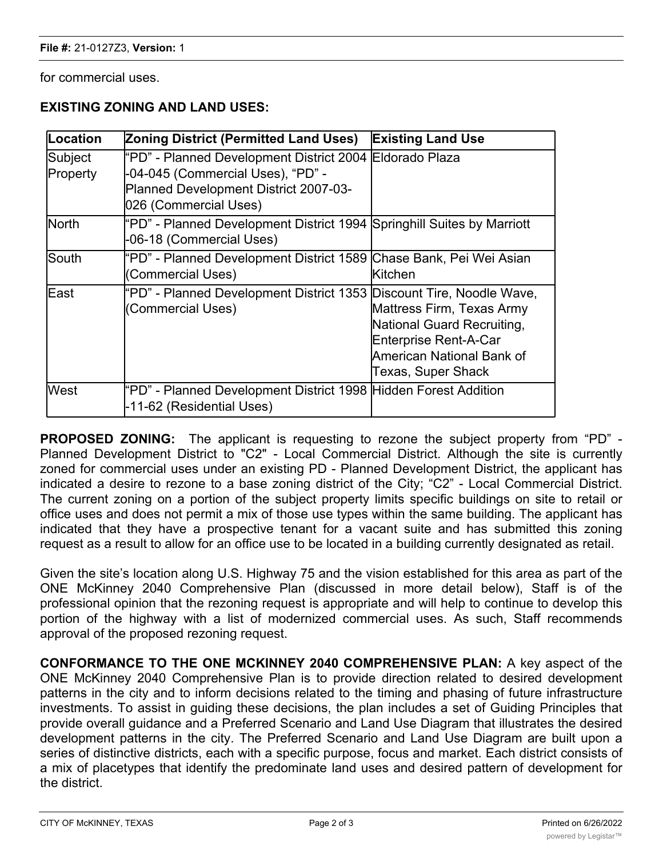for commercial uses.

## **EXISTING ZONING AND LAND USES:**

| Location            | Zoning District (Permitted Land Uses)                                                                                                                            | <b>Existing Land Use</b>                                                                                                                   |
|---------------------|------------------------------------------------------------------------------------------------------------------------------------------------------------------|--------------------------------------------------------------------------------------------------------------------------------------------|
| Subject<br>Property | l"PD" - Planned Development District 2004  Eldorado Plaza<br>-04-045 (Commercial Uses), "PD" -<br>Planned Development District 2007-03-<br>026 (Commercial Uses) |                                                                                                                                            |
| <b>North</b>        | "PD" - Planned Development District 1994 Springhill Suites by Marriott<br>-06-18 (Commercial Uses)                                                               |                                                                                                                                            |
| lSouth              | "PD" - Planned Development District 1589 Chase Bank, Pei Wei Asian<br>(Commercial Uses)                                                                          | <b>Kitchen</b>                                                                                                                             |
| lEast               | "PD" - Planned Development District 1353 Discount Tire, Noodle Wave,<br>(Commercial Uses)                                                                        | Mattress Firm, Texas Army<br>National Guard Recruiting,<br>Enterprise Rent-A-Car<br>American National Bank of<br><b>Texas, Super Shack</b> |
| <b>West</b>         | "PD" - Planned Development District 1998 Hidden Forest Addition<br>-11-62 (Residential Uses)                                                                     |                                                                                                                                            |

**PROPOSED ZONING:** The applicant is requesting to rezone the subject property from "PD" - Planned Development District to "C2" - Local Commercial District. Although the site is currently zoned for commercial uses under an existing PD - Planned Development District, the applicant has indicated a desire to rezone to a base zoning district of the City; "C2" - Local Commercial District. The current zoning on a portion of the subject property limits specific buildings on site to retail or office uses and does not permit a mix of those use types within the same building. The applicant has indicated that they have a prospective tenant for a vacant suite and has submitted this zoning request as a result to allow for an office use to be located in a building currently designated as retail.

Given the site's location along U.S. Highway 75 and the vision established for this area as part of the ONE McKinney 2040 Comprehensive Plan (discussed in more detail below), Staff is of the professional opinion that the rezoning request is appropriate and will help to continue to develop this portion of the highway with a list of modernized commercial uses. As such, Staff recommends approval of the proposed rezoning request.

**CONFORMANCE TO THE ONE MCKINNEY 2040 COMPREHENSIVE PLAN:** A key aspect of the ONE McKinney 2040 Comprehensive Plan is to provide direction related to desired development patterns in the city and to inform decisions related to the timing and phasing of future infrastructure investments. To assist in guiding these decisions, the plan includes a set of Guiding Principles that provide overall guidance and a Preferred Scenario and Land Use Diagram that illustrates the desired development patterns in the city. The Preferred Scenario and Land Use Diagram are built upon a series of distinctive districts, each with a specific purpose, focus and market. Each district consists of a mix of placetypes that identify the predominate land uses and desired pattern of development for the district.